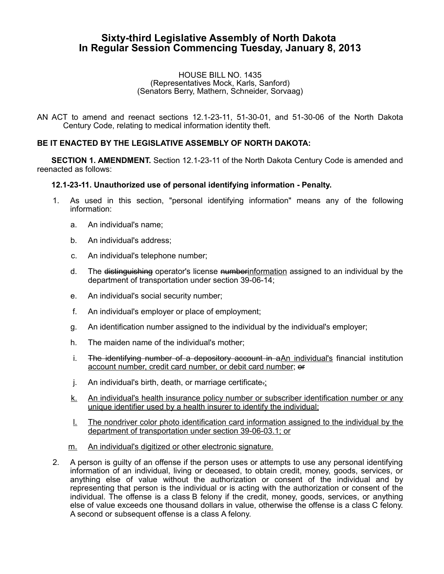# **Sixty-third Legislative Assembly of North Dakota In Regular Session Commencing Tuesday, January 8, 2013**

#### HOUSE BILL NO. 1435 (Representatives Mock, Karls, Sanford) (Senators Berry, Mathern, Schneider, Sorvaag)

AN ACT to amend and reenact sections 12.1-23-11, 51-30-01, and 51-30-06 of the North Dakota Century Code, relating to medical information identity theft.

## **BE IT ENACTED BY THE LEGISLATIVE ASSEMBLY OF NORTH DAKOTA:**

**SECTION 1. AMENDMENT.** Section 12.1-23-11 of the North Dakota Century Code is amended and reenacted as follows:

## **12.1-23-11. Unauthorized use of personal identifying information - Penalty.**

- 1. As used in this section, "personal identifying information" means any of the following information:
	- a. An individual's name;
	- b. An individual's address;
	- c. An individual's telephone number;
	- d. The distinguishing operator's license numberinformation assigned to an individual by the department of transportation under section 39-06-14;
	- e. An individual's social security number;
	- f. An individual's employer or place of employment;
	- g. An identification number assigned to the individual by the individual's employer;
	- h. The maiden name of the individual's mother;
	- i. The identifying number of a depository account in  $aAn$  individual's financial institution account number, credit card number, or debit card number; or
	- j. An individual's birth, death, or marriage certificate.;
	- k. An individual's health insurance policy number or subscriber identification number or any unique identifier used by a health insurer to identify the individual;
	- l. The nondriver color photo identification card information assigned to the individual by the department of transportation under section 39-06-03.1; or
	- m. An individual's digitized or other electronic signature.
- 2. A person is guilty of an offense if the person uses or attempts to use any personal identifying information of an individual, living or deceased, to obtain credit, money, goods, services, or anything else of value without the authorization or consent of the individual and by representing that person is the individual or is acting with the authorization or consent of the individual. The offense is a class B felony if the credit, money, goods, services, or anything else of value exceeds one thousand dollars in value, otherwise the offense is a class C felony. A second or subsequent offense is a class A felony.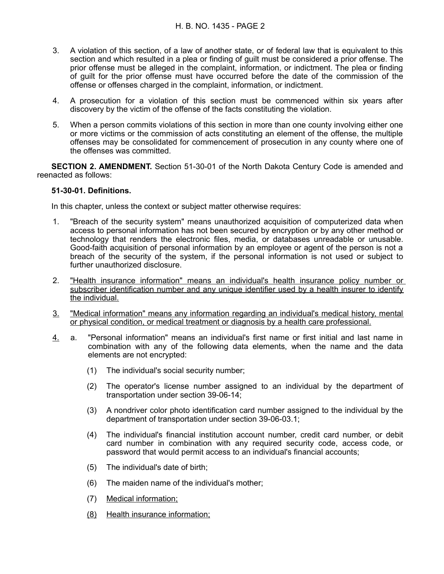- 3. A violation of this section, of a law of another state, or of federal law that is equivalent to this section and which resulted in a plea or finding of guilt must be considered a prior offense. The prior offense must be alleged in the complaint, information, or indictment. The plea or finding of guilt for the prior offense must have occurred before the date of the commission of the offense or offenses charged in the complaint, information, or indictment.
- 4. A prosecution for a violation of this section must be commenced within six years after discovery by the victim of the offense of the facts constituting the violation.
- 5. When a person commits violations of this section in more than one county involving either one or more victims or the commission of acts constituting an element of the offense, the multiple offenses may be consolidated for commencement of prosecution in any county where one of the offenses was committed.

**SECTION 2. AMENDMENT.** Section 51-30-01 of the North Dakota Century Code is amended and reenacted as follows:

### **51-30-01. Definitions.**

In this chapter, unless the context or subject matter otherwise requires:

- 1. "Breach of the security system" means unauthorized acquisition of computerized data when access to personal information has not been secured by encryption or by any other method or technology that renders the electronic files, media, or databases unreadable or unusable. Good-faith acquisition of personal information by an employee or agent of the person is not a breach of the security of the system, if the personal information is not used or subject to further unauthorized disclosure.
- 2. "Health insurance information" means an individual's health insurance policy number or subscriber identification number and any unique identifier used by a health insurer to identify the individual.
- 3. "Medical information" means any information regarding an individual's medical history, mental or physical condition, or medical treatment or diagnosis by a health care professional.
- 4. a. "Personal information" means an individual's first name or first initial and last name in combination with any of the following data elements, when the name and the data elements are not encrypted:
	- (1) The individual's social security number;
	- (2) The operator's license number assigned to an individual by the department of transportation under section 39-06-14;
	- (3) A nondriver color photo identification card number assigned to the individual by the department of transportation under section 39-06-03.1;
	- (4) The individual's financial institution account number, credit card number, or debit card number in combination with any required security code, access code, or password that would permit access to an individual's financial accounts;
	- (5) The individual's date of birth;
	- (6) The maiden name of the individual's mother;
	- (7) Medical information;
	- (8) Health insurance information;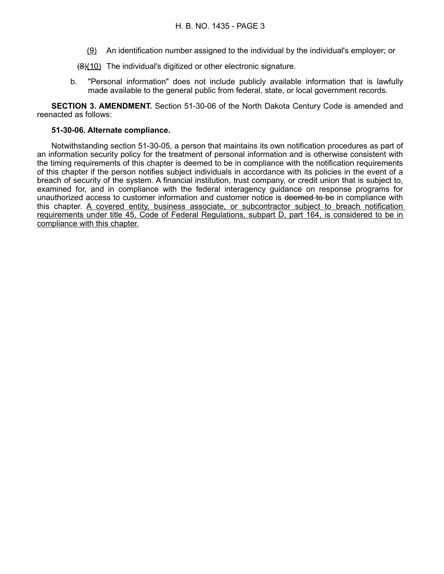- (9) An identification number assigned to the individual by the individual's employer; or
- (8)(10) The individual's digitized or other electronic signature.
- b. "Personal information" does not include publicly available information that is lawfully made available to the general public from federal, state, or local government records.

**SECTION 3. AMENDMENT.** Section 51-30-06 of the North Dakota Century Code is amended and reenacted as follows:

### **51-30-06. Alternate compliance.**

Notwithstanding section 51-30-05, a person that maintains its own notification procedures as part of an information security policy for the treatment of personal information and is otherwise consistent with the timing requirements of this chapter is deemed to be in compliance with the notification requirements of this chapter if the person notifies subject individuals in accordance with its policies in the event of a breach of security of the system. A financial institution, trust company, or credit union that is subject to, examined for, and in compliance with the federal interagency guidance on response programs for unauthorized access to customer information and customer notice is deemed to be in compliance with this chapter. A covered entity, business associate, or subcontractor subject to breach notification requirements under title 45, Code of Federal Regulations, subpart D, part 164, is considered to be in compliance with this chapter.